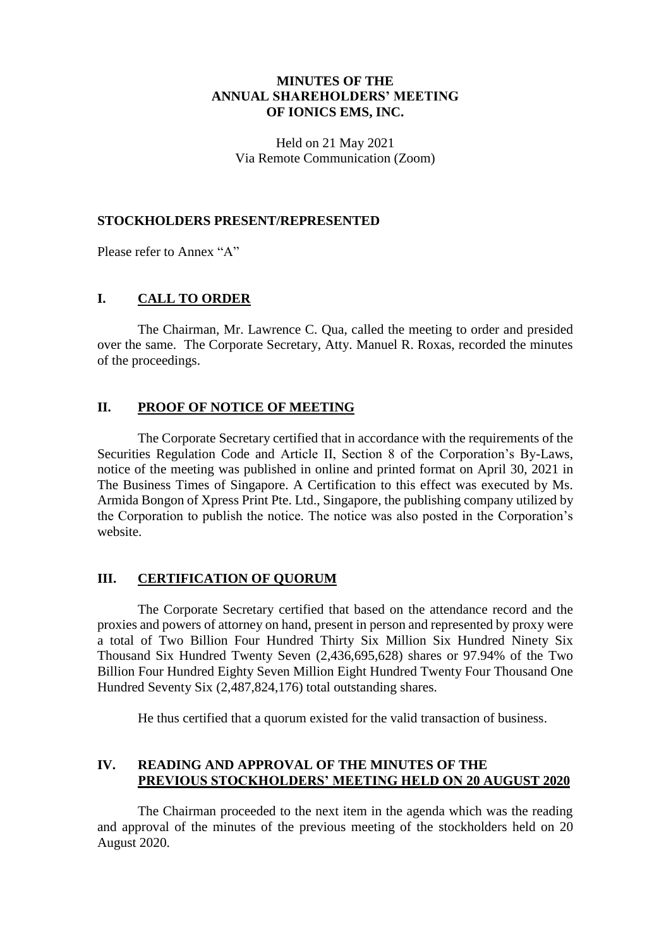### **MINUTES OF THE ANNUAL SHAREHOLDERS' MEETING OF IONICS EMS, INC.**

Held on 21 May 2021 Via Remote Communication (Zoom)

#### **STOCKHOLDERS PRESENT/REPRESENTED**

Please refer to Annex "A"

## **I. CALL TO ORDER**

The Chairman, Mr. Lawrence C. Qua, called the meeting to order and presided over the same. The Corporate Secretary, Atty. Manuel R. Roxas, recorded the minutes of the proceedings.

## **II. PROOF OF NOTICE OF MEETING**

The Corporate Secretary certified that in accordance with the requirements of the Securities Regulation Code and Article II, Section 8 of the Corporation's By-Laws, notice of the meeting was published in online and printed format on April 30, 2021 in The Business Times of Singapore. A Certification to this effect was executed by Ms. Armida Bongon of Xpress Print Pte. Ltd., Singapore, the publishing company utilized by the Corporation to publish the notice. The notice was also posted in the Corporation's website.

#### **III. CERTIFICATION OF QUORUM**

The Corporate Secretary certified that based on the attendance record and the proxies and powers of attorney on hand, present in person and represented by proxy were a total of Two Billion Four Hundred Thirty Six Million Six Hundred Ninety Six Thousand Six Hundred Twenty Seven (2,436,695,628) shares or 97.94% of the Two Billion Four Hundred Eighty Seven Million Eight Hundred Twenty Four Thousand One Hundred Seventy Six (2,487,824,176) total outstanding shares.

He thus certified that a quorum existed for the valid transaction of business.

# **IV. READING AND APPROVAL OF THE MINUTES OF THE PREVIOUS STOCKHOLDERS' MEETING HELD ON 20 AUGUST 2020**

The Chairman proceeded to the next item in the agenda which was the reading and approval of the minutes of the previous meeting of the stockholders held on 20 August 2020.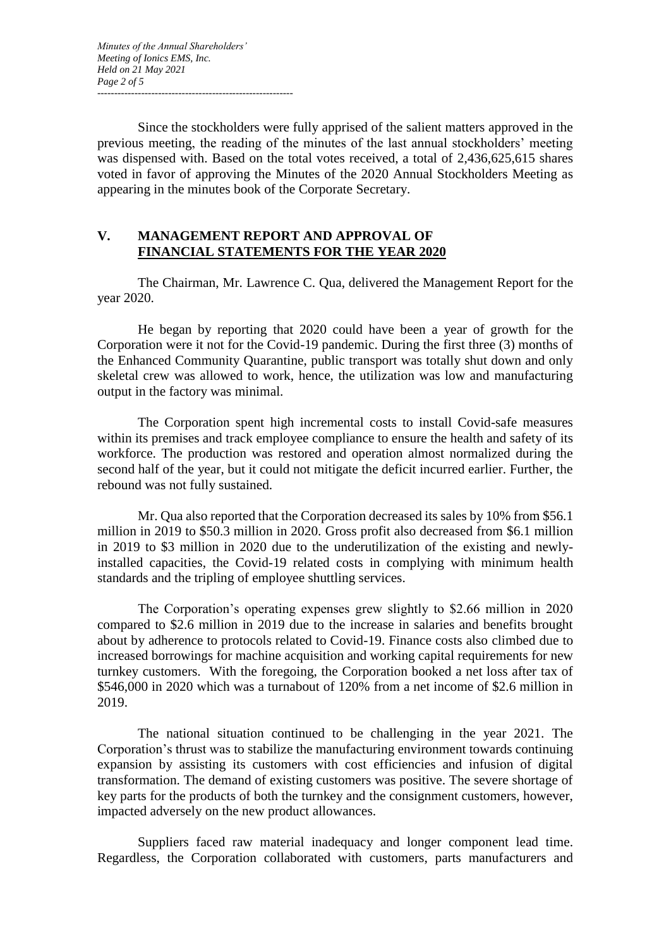Since the stockholders were fully apprised of the salient matters approved in the previous meeting, the reading of the minutes of the last annual stockholders' meeting was dispensed with. Based on the total votes received, a total of 2,436,625,615 shares voted in favor of approving the Minutes of the 2020 Annual Stockholders Meeting as appearing in the minutes book of the Corporate Secretary.

# **V. MANAGEMENT REPORT AND APPROVAL OF FINANCIAL STATEMENTS FOR THE YEAR 2020**

The Chairman, Mr. Lawrence C. Qua, delivered the Management Report for the year 2020.

He began by reporting that 2020 could have been a year of growth for the Corporation were it not for the Covid-19 pandemic. During the first three (3) months of the Enhanced Community Quarantine, public transport was totally shut down and only skeletal crew was allowed to work, hence, the utilization was low and manufacturing output in the factory was minimal.

The Corporation spent high incremental costs to install Covid-safe measures within its premises and track employee compliance to ensure the health and safety of its workforce. The production was restored and operation almost normalized during the second half of the year, but it could not mitigate the deficit incurred earlier. Further, the rebound was not fully sustained.

Mr. Qua also reported that the Corporation decreased its sales by 10% from \$56.1 million in 2019 to \$50.3 million in 2020. Gross profit also decreased from \$6.1 million in 2019 to \$3 million in 2020 due to the underutilization of the existing and newlyinstalled capacities, the Covid-19 related costs in complying with minimum health standards and the tripling of employee shuttling services.

The Corporation's operating expenses grew slightly to \$2.66 million in 2020 compared to \$2.6 million in 2019 due to the increase in salaries and benefits brought about by adherence to protocols related to Covid-19. Finance costs also climbed due to increased borrowings for machine acquisition and working capital requirements for new turnkey customers. With the foregoing, the Corporation booked a net loss after tax of \$546,000 in 2020 which was a turnabout of 120% from a net income of \$2.6 million in 2019.

The national situation continued to be challenging in the year 2021. The Corporation's thrust was to stabilize the manufacturing environment towards continuing expansion by assisting its customers with cost efficiencies and infusion of digital transformation. The demand of existing customers was positive. The severe shortage of key parts for the products of both the turnkey and the consignment customers, however, impacted adversely on the new product allowances.

Suppliers faced raw material inadequacy and longer component lead time. Regardless, the Corporation collaborated with customers, parts manufacturers and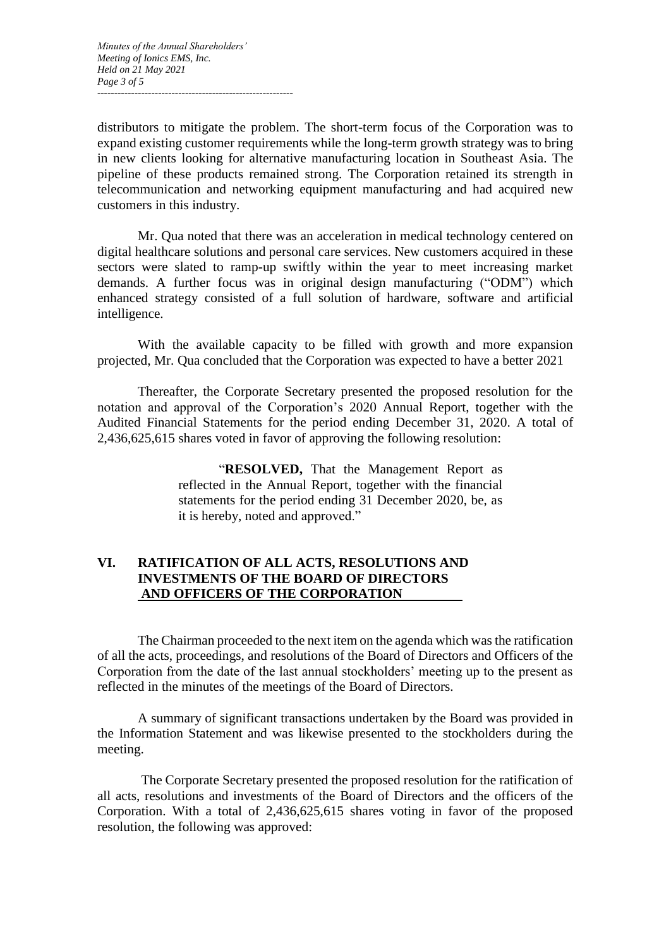distributors to mitigate the problem. The short-term focus of the Corporation was to expand existing customer requirements while the long-term growth strategy was to bring in new clients looking for alternative manufacturing location in Southeast Asia. The pipeline of these products remained strong. The Corporation retained its strength in telecommunication and networking equipment manufacturing and had acquired new customers in this industry.

Mr. Qua noted that there was an acceleration in medical technology centered on digital healthcare solutions and personal care services. New customers acquired in these sectors were slated to ramp-up swiftly within the year to meet increasing market demands. A further focus was in original design manufacturing ("ODM") which enhanced strategy consisted of a full solution of hardware, software and artificial intelligence.

With the available capacity to be filled with growth and more expansion projected, Mr. Qua concluded that the Corporation was expected to have a better 2021

Thereafter, the Corporate Secretary presented the proposed resolution for the notation and approval of the Corporation's 2020 Annual Report, together with the Audited Financial Statements for the period ending December 31, 2020. A total of 2,436,625,615 shares voted in favor of approving the following resolution:

> "**RESOLVED,** That the Management Report as reflected in the Annual Report, together with the financial statements for the period ending 31 December 2020, be, as it is hereby, noted and approved."

## **VI. RATIFICATION OF ALL ACTS, RESOLUTIONS AND INVESTMENTS OF THE BOARD OF DIRECTORS AND OFFICERS OF THE CORPORATION**

The Chairman proceeded to the next item on the agenda which was the ratification of all the acts, proceedings, and resolutions of the Board of Directors and Officers of the Corporation from the date of the last annual stockholders' meeting up to the present as reflected in the minutes of the meetings of the Board of Directors.

A summary of significant transactions undertaken by the Board was provided in the Information Statement and was likewise presented to the stockholders during the meeting.

The Corporate Secretary presented the proposed resolution for the ratification of all acts, resolutions and investments of the Board of Directors and the officers of the Corporation. With a total of 2,436,625,615 shares voting in favor of the proposed resolution, the following was approved: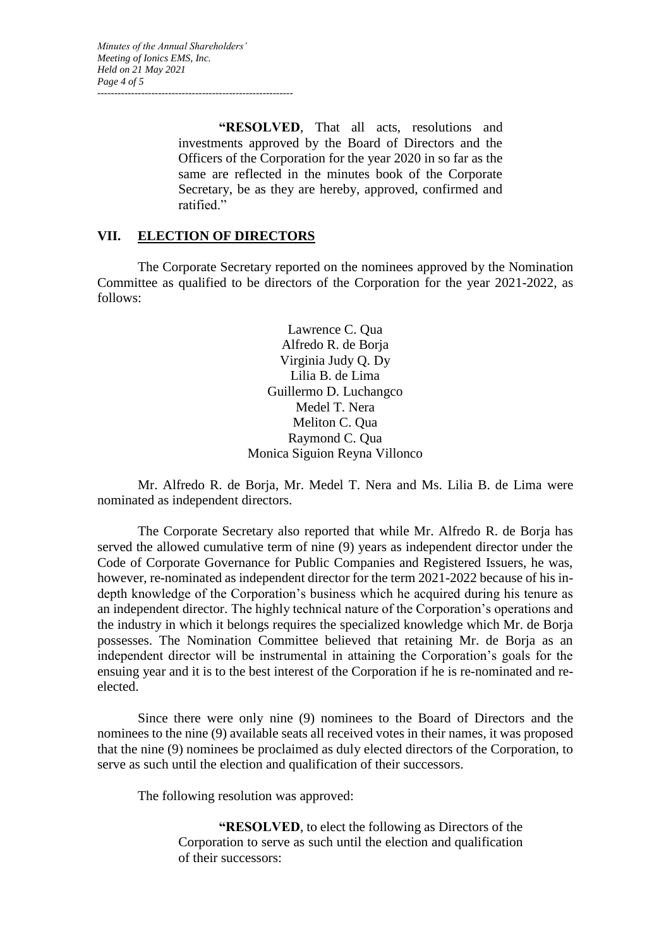**"RESOLVED**, That all acts, resolutions and investments approved by the Board of Directors and the Officers of the Corporation for the year 2020 in so far as the same are reflected in the minutes book of the Corporate Secretary, be as they are hereby, approved, confirmed and ratified."

# **VII. ELECTION OF DIRECTORS**

The Corporate Secretary reported on the nominees approved by the Nomination Committee as qualified to be directors of the Corporation for the year 2021-2022, as follows:

> Lawrence C. Qua Alfredo R. de Borja Virginia Judy Q. Dy Lilia B. de Lima Guillermo D. Luchangco Medel T. Nera Meliton C. Qua Raymond C. Qua Monica Siguion Reyna Villonco

Mr. Alfredo R. de Borja, Mr. Medel T. Nera and Ms. Lilia B. de Lima were nominated as independent directors.

The Corporate Secretary also reported that while Mr. Alfredo R. de Borja has served the allowed cumulative term of nine (9) years as independent director under the Code of Corporate Governance for Public Companies and Registered Issuers, he was, however, re-nominated as independent director for the term 2021-2022 because of his indepth knowledge of the Corporation's business which he acquired during his tenure as an independent director. The highly technical nature of the Corporation's operations and the industry in which it belongs requires the specialized knowledge which Mr. de Borja possesses. The Nomination Committee believed that retaining Mr. de Borja as an independent director will be instrumental in attaining the Corporation's goals for the ensuing year and it is to the best interest of the Corporation if he is re-nominated and reelected.

Since there were only nine (9) nominees to the Board of Directors and the nominees to the nine (9) available seats all received votes in their names, it was proposed that the nine (9) nominees be proclaimed as duly elected directors of the Corporation, to serve as such until the election and qualification of their successors.

The following resolution was approved:

**"RESOLVED**, to elect the following as Directors of the Corporation to serve as such until the election and qualification of their successors: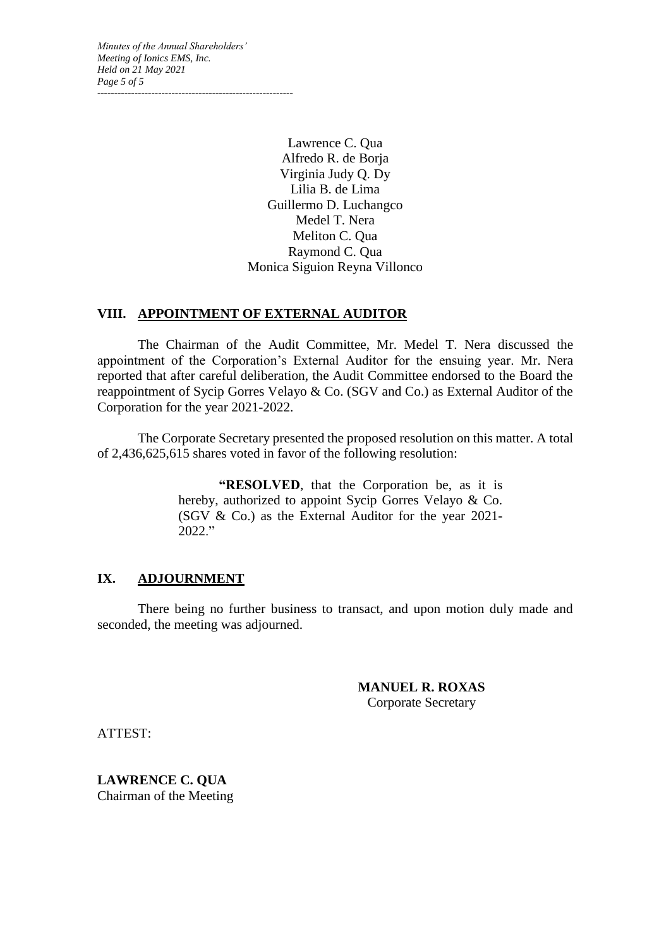*Minutes of the Annual Shareholders' Meeting of Ionics EMS, Inc. Held on 21 May 2021 Page 5 of 5 ----------------------------------------------------------*

> Lawrence C. Qua Alfredo R. de Borja Virginia Judy Q. Dy Lilia B. de Lima Guillermo D. Luchangco Medel T. Nera Meliton C. Qua Raymond C. Qua Monica Siguion Reyna Villonco

#### **VIII. APPOINTMENT OF EXTERNAL AUDITOR**

The Chairman of the Audit Committee, Mr. Medel T. Nera discussed the appointment of the Corporation's External Auditor for the ensuing year. Mr. Nera reported that after careful deliberation, the Audit Committee endorsed to the Board the reappointment of Sycip Gorres Velayo & Co. (SGV and Co.) as External Auditor of the Corporation for the year 2021-2022.

The Corporate Secretary presented the proposed resolution on this matter. A total of 2,436,625,615 shares voted in favor of the following resolution:

> **"RESOLVED**, that the Corporation be, as it is hereby, authorized to appoint Sycip Gorres Velayo & Co. (SGV & Co.) as the External Auditor for the year 2021- 2022."

#### **IX. ADJOURNMENT**

There being no further business to transact, and upon motion duly made and seconded, the meeting was adjourned.

> **MANUEL R. ROXAS** Corporate Secretary

ATTEST:

**LAWRENCE C. QUA** Chairman of the Meeting